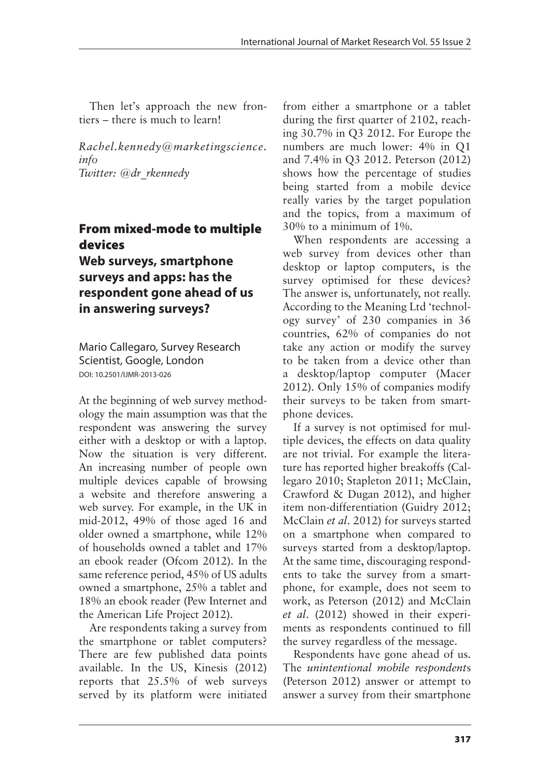Then let's approach the new frontiers – there is much to learn!

*Rachel.kennedy@marketingscience. info Twitter: @dr\_rkennedy*

# From mixed-mode to multiple devices

**Web surveys, smartphone surveys and apps: has the respondent gone ahead of us in answering surveys?**

Mario Callegaro, Survey Research Scientist, Google, London DOI: 10.2501/IJMR-2013-026

At the beginning of web survey methodology the main assumption was that the respondent was answering the survey either with a desktop or with a laptop. Now the situation is very different. An increasing number of people own multiple devices capable of browsing a website and therefore answering a web survey. For example, in the UK in mid-2012, 49% of those aged 16 and older owned a smartphone, while 12% of households owned a tablet and 17% an ebook reader (Ofcom 2012). In the same reference period, 45% of US adults owned a smartphone, 25% a tablet and 18% an ebook reader (Pew Internet and the American Life Project 2012).

Are respondents taking a survey from the smartphone or tablet computers? There are few published data points available. In the US, Kinesis (2012) reports that 25.5% of web surveys served by its platform were initiated from either a smartphone or a tablet during the first quarter of 2102, reaching 30.7% in Q3 2012. For Europe the numbers are much lower: 4% in Q1 and 7.4% in Q3 2012. Peterson (2012) shows how the percentage of studies being started from a mobile device really varies by the target population and the topics, from a maximum of 30% to a minimum of 1%.

When respondents are accessing a web survey from devices other than desktop or laptop computers, is the survey optimised for these devices? The answer is, unfortunately, not really. According to the Meaning Ltd 'technology survey' of 230 companies in 36 countries, 62% of companies do not take any action or modify the survey to be taken from a device other than a desktop/laptop computer (Macer 2012). Only 15% of companies modify their surveys to be taken from smartphone devices.

If a survey is not optimised for multiple devices, the effects on data quality are not trivial. For example the literature has reported higher breakoffs (Callegaro 2010; Stapleton 2011; McClain, Crawford & Dugan 2012), and higher item non-differentiation (Guidry 2012; McClain *et al*. 2012) for surveys started on a smartphone when compared to surveys started from a desktop/laptop. At the same time, discouraging respondents to take the survey from a smartphone, for example, does not seem to work, as Peterson (2012) and McClain *et al*. (2012) showed in their experiments as respondents continued to fill the survey regardless of the message.

Respondents have gone ahead of us. The *unintentional mobile respondent*s (Peterson 2012) answer or attempt to answer a survey from their smartphone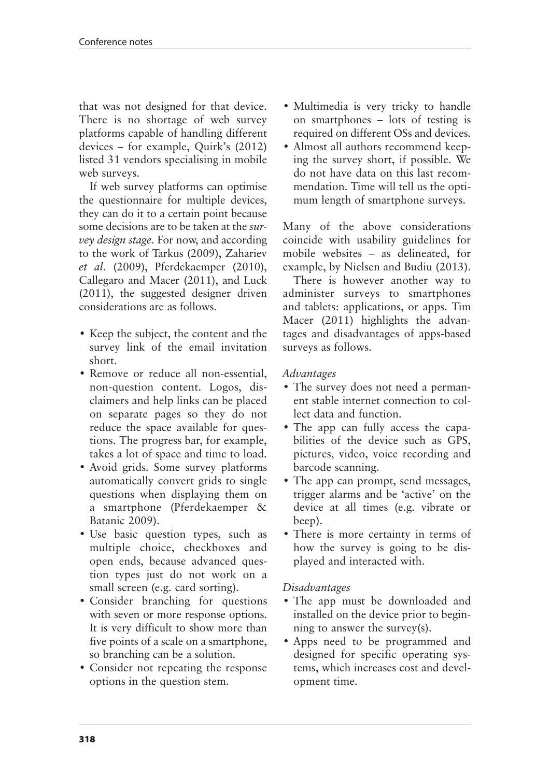that was not designed for that device. There is no shortage of web survey platforms capable of handling different devices – for example, Quirk's (2012) listed 31 vendors specialising in mobile web surveys.

If web survey platforms can optimise the questionnaire for multiple devices, they can do it to a certain point because some decisions are to be taken at the *survey design stage*. For now, and according to the work of Tarkus (2009), Zahariev *et al*. (2009), Pferdekaemper (2010), Callegaro and Macer (2011), and Luck (2011), the suggested designer driven considerations are as follows.

- Keep the subject, the content and the survey link of the email invitation short.
- • Remove or reduce all non-essential, non-question content. Logos, disclaimers and help links can be placed on separate pages so they do not reduce the space available for questions. The progress bar, for example, takes a lot of space and time to load.
- Avoid grids. Some survey platforms automatically convert grids to single questions when displaying them on a smartphone (Pferdekaemper & Batanic 2009).
- • Use basic question types, such as multiple choice, checkboxes and open ends, because advanced question types just do not work on a small screen (e.g. card sorting).
- • Consider branching for questions with seven or more response options. It is very difficult to show more than five points of a scale on a smartphone, so branching can be a solution.
- Consider not repeating the response options in the question stem.
- • Multimedia is very tricky to handle on smartphones – lots of testing is required on different OSs and devices.
- Almost all authors recommend keeping the survey short, if possible. We do not have data on this last recommendation. Time will tell us the optimum length of smartphone surveys.

Many of the above considerations coincide with usability guidelines for mobile websites – as delineated, for example, by Nielsen and Budiu (2013).

There is however another way to administer surveys to smartphones and tablets: applications, or apps. Tim Macer (2011) highlights the advantages and disadvantages of apps-based surveys as follows.

### *Advantages*

- The survey does not need a permanent stable internet connection to collect data and function.
- The app can fully access the capabilities of the device such as GPS, pictures, video, voice recording and barcode scanning.
- The app can prompt, send messages, trigger alarms and be 'active' on the device at all times (e.g. vibrate or beep).
- There is more certainty in terms of how the survey is going to be displayed and interacted with.

# *Disadvantages*

- The app must be downloaded and installed on the device prior to beginning to answer the survey(s).
- • Apps need to be programmed and designed for specific operating systems, which increases cost and development time.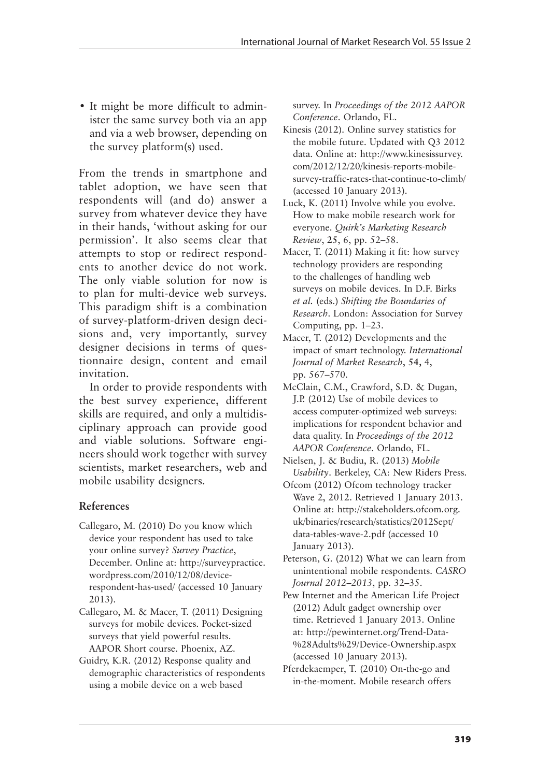• It might be more difficult to administer the same survey both via an app and via a web browser, depending on the survey platform(s) used.

From the trends in smartphone and tablet adoption, we have seen that respondents will (and do) answer a survey from whatever device they have in their hands, 'without asking for our permission'. It also seems clear that attempts to stop or redirect respondents to another device do not work. The only viable solution for now is to plan for multi-device web surveys. This paradigm shift is a combination of survey-platform-driven design decisions and, very importantly, survey designer decisions in terms of questionnaire design, content and email invitation.

In order to provide respondents with the best survey experience, different skills are required, and only a multidisciplinary approach can provide good and viable solutions. Software engineers should work together with survey scientists, market researchers, web and mobile usability designers.

### **References**

- Callegaro, M. (2010) Do you know which device your respondent has used to take your online survey? *Survey Practice*, December. Online at: http://surveypractice. wordpress.com/2010/12/08/devicerespondent-has-used/ (accessed 10 January 2013).
- Callegaro, M. & Macer, T. (2011) Designing surveys for mobile devices. Pocket-sized surveys that yield powerful results. AAPOR Short course. Phoenix, AZ.
- Guidry, K.R. (2012) Response quality and demographic characteristics of respondents using a mobile device on a web based

survey. In *Proceedings of the 2012 AAPOR Conference*. Orlando, FL.

- Kinesis (2012). Online survey statistics for the mobile future. Updated with Q3 2012 data. Online at: http://www.kinesissurvey. com/2012/12/20/kinesis-reports-mobilesurvey-traffic-rates-that-continue-to-climb/ (accessed 10 January 2013).
- Luck, K. (2011) Involve while you evolve. How to make mobile research work for everyone. *Quirk's Marketing Research Review*, **25**, 6, pp. 52–58.
- Macer, T. (2011) Making it fit: how survey technology providers are responding to the challenges of handling web surveys on mobile devices. In D.F. Birks *et al.* (eds.) *Shifting the Boundaries of Research*. London: Association for Survey Computing, pp. 1–23.
- Macer, T. (2012) Developments and the impact of smart technology. *International Journal of Market Research*, **54,** 4, pp. 567–570.
- McClain, C.M., Crawford, S.D. & Dugan, J.P. (2012) Use of mobile devices to access computer-optimized web surveys: implications for respondent behavior and data quality. In *Proceedings of the 2012 AAPOR Conference*. Orlando, FL.
- Nielsen, J. & Budiu, R. (2013) *Mobile Usability*. Berkeley, CA: New Riders Press.
- Ofcom (2012) Ofcom technology tracker Wave 2, 2012. Retrieved 1 January 2013. Online at: http://stakeholders.ofcom.org. uk/binaries/research/statistics/2012Sept/ data-tables-wave-2.pdf (accessed 10 January 2013).
- Peterson, G. (2012) What we can learn from unintentional mobile respondents. *CASRO Journal 2012–2013*, pp. 32–35.
- Pew Internet and the American Life Project (2012) Adult gadget ownership over time. Retrieved 1 January 2013. Online at: http://pewinternet.org/Trend-Data- %28Adults%29/Device-Ownership.aspx (accessed 10 January 2013).
- Pferdekaemper, T. (2010) On-the-go and in-the-moment. Mobile research offers